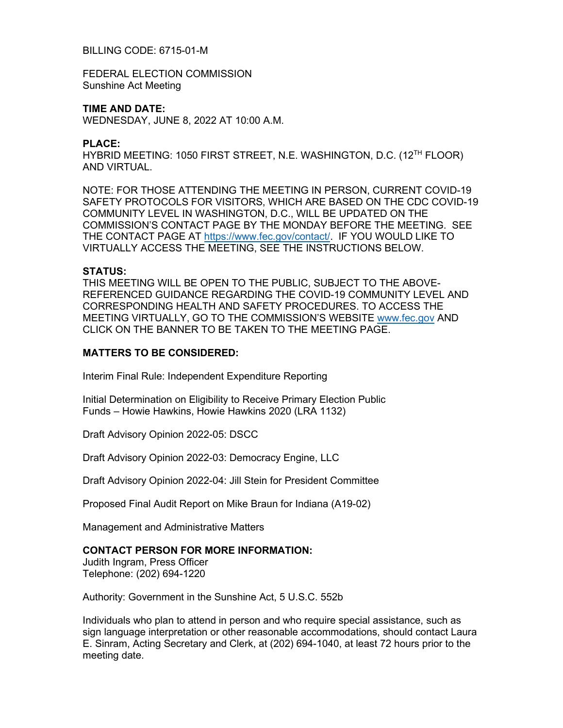## BILLING CODE: 6715-01-M

FEDERAL ELECTION COMMISSION Sunshine Act Meeting

# **TIME AND DATE:**

WEDNESDAY, JUNE 8, 2022 AT 10:00 A.M.

#### **PLACE:**

HYBRID MEETING: 1050 FIRST STREET, N.E. WASHINGTON, D.C. (12TH FLOOR) AND VIRTUAL.

NOTE: FOR THOSE ATTENDING THE MEETING IN PERSON, CURRENT COVID-19 SAFETY PROTOCOLS FOR VISITORS, WHICH ARE BASED ON THE CDC COVID-19 COMMUNITY LEVEL IN WASHINGTON, D.C., WILL BE UPDATED ON THE COMMISSION'S CONTACT PAGE BY THE MONDAY BEFORE THE MEETING. SEE THE CONTACT PAGE AT [https://www.fec.gov/contact/.](https://www.fec.gov/contact/) IF YOU WOULD LIKE TO VIRTUALLY ACCESS THE MEETING, SEE THE INSTRUCTIONS BELOW.

### **STATUS:**

THIS MEETING WILL BE OPEN TO THE PUBLIC, SUBJECT TO THE ABOVE-REFERENCED GUIDANCE REGARDING THE COVID-19 COMMUNITY LEVEL AND CORRESPONDING HEALTH AND SAFETY PROCEDURES. TO ACCESS THE MEETING VIRTUALLY, GO TO THE COMMISSION'S WEBSITE [www.fec.gov](http://www.fec.gov/) AND CLICK ON THE BANNER TO BE TAKEN TO THE MEETING PAGE.

### **MATTERS TO BE CONSIDERED:**

Interim Final Rule: Independent Expenditure Reporting

Initial Determination on Eligibility to Receive Primary Election Public Funds – Howie Hawkins, Howie Hawkins 2020 (LRA 1132)

Draft Advisory Opinion 2022-05: DSCC

Draft Advisory Opinion 2022-03: Democracy Engine, LLC

Draft Advisory Opinion 2022-04: Jill Stein for President Committee

Proposed Final Audit Report on Mike Braun for Indiana (A19-02)

Management and Administrative Matters

## **CONTACT PERSON FOR MORE INFORMATION:**

Judith Ingram, Press Officer Telephone: (202) 694-1220

Authority: Government in the Sunshine Act, 5 U.S.C. 552b

Individuals who plan to attend in person and who require special assistance, such as sign language interpretation or other reasonable accommodations, should contact Laura E. Sinram, Acting Secretary and Clerk, at (202) 694-1040, at least 72 hours prior to the meeting date.